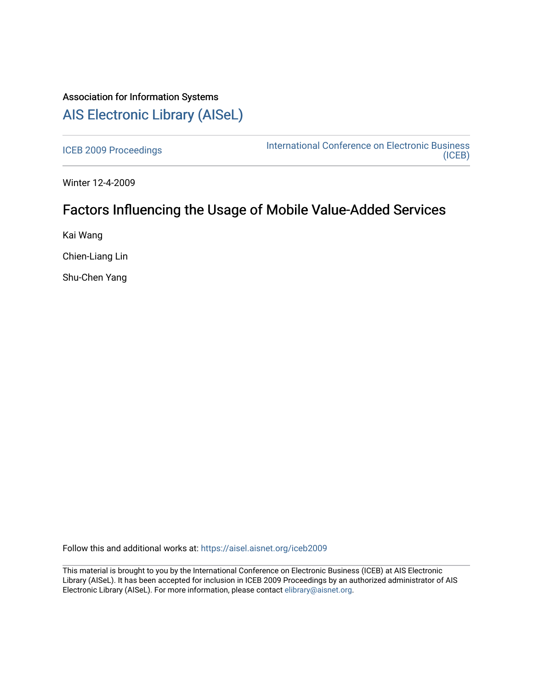## Association for Information Systems [AIS Electronic Library \(AISeL\)](https://aisel.aisnet.org/)

[ICEB 2009 Proceedings](https://aisel.aisnet.org/iceb2009) **International Conference on Electronic Business** [\(ICEB\)](https://aisel.aisnet.org/iceb) 

Winter 12-4-2009

# Factors Influencing the Usage of Mobile Value-Added Services

Kai Wang

Chien-Liang Lin

Shu-Chen Yang

Follow this and additional works at: [https://aisel.aisnet.org/iceb2009](https://aisel.aisnet.org/iceb2009?utm_source=aisel.aisnet.org%2Ficeb2009%2F45&utm_medium=PDF&utm_campaign=PDFCoverPages)

This material is brought to you by the International Conference on Electronic Business (ICEB) at AIS Electronic Library (AISeL). It has been accepted for inclusion in ICEB 2009 Proceedings by an authorized administrator of AIS Electronic Library (AISeL). For more information, please contact [elibrary@aisnet.org.](mailto:elibrary@aisnet.org%3E)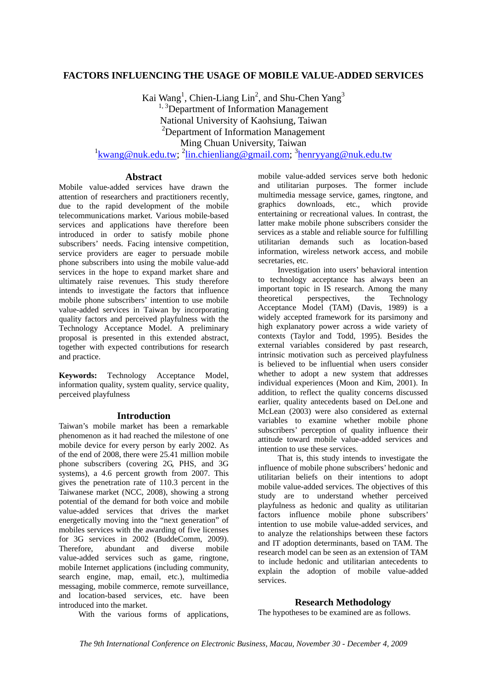## **FACTORS INFLUENCING THE USAGE OF MOBILE VALUE-ADDED SERVICES**

Kai Wang<sup>1</sup>, Chien-Liang Lin<sup>2</sup>, and Shu-Chen Yang<sup>3</sup> <sup>1, 3</sup>Department of Information Management National University of Kaohsiung, Taiwan 2 Department of Information Management Ming Chuan University, Taiwan <sup>1</sup>kwang@nuk.edu.tw;<sup>2</sup>lin.chienliang@gmail.com;<sup>3</sup>henryyang@nuk.edu.tw

### **Abstract**

Mobile value-added services have drawn the attention of researchers and practitioners recently, due to the rapid development of the mobile telecommunications market. Various mobile-based services and applications have therefore been introduced in order to satisfy mobile phone subscribers' needs. Facing intensive competition, service providers are eager to persuade mobile phone subscribers into using the mobile value-add services in the hope to expand market share and ultimately raise revenues. This study therefore intends to investigate the factors that influence mobile phone subscribers' intention to use mobile value-added services in Taiwan by incorporating quality factors and perceived playfulness with the Technology Acceptance Model. A preliminary proposal is presented in this extended abstract, together with expected contributions for research and practice.

**Keywords:** Technology Acceptance Model, information quality, system quality, service quality, perceived playfulness

### **Introduction**

Taiwan's mobile market has been a remarkable phenomenon as it had reached the milestone of one mobile device for every person by early 2002. As of the end of 2008, there were 25.41 million mobile phone subscribers (covering 2G, PHS, and 3G systems), a 4.6 percent growth from 2007. This gives the penetration rate of 110.3 percent in the Taiwanese market (NCC, 2008), showing a strong potential of the demand for both voice and mobile value-added services that drives the market energetically moving into the "next generation" of mobiles services with the awarding of five licenses for 3G services in 2002 (BuddeComm, 2009). Therefore, abundant and diverse mobile value-added services such as game, ringtone, mobile Internet applications (including community, search engine, map, email, etc.), multimedia messaging, mobile commerce, remote surveillance, and location-based services, etc. have been introduced into the market.

With the various forms of applications,

mobile value-added services serve both hedonic and utilitarian purposes. The former include multimedia message service, games, ringtone, and graphics downloads, etc., which provide entertaining or recreational values. In contrast, the latter make mobile phone subscribers consider the services as a stable and reliable source for fulfilling utilitarian demands such as location-based information, wireless network access, and mobile secretaries, etc.

Investigation into users' behavioral intention to technology acceptance has always been an important topic in IS research. Among the many theoretical perspectives, the Technology Acceptance Model (TAM) (Davis, 1989) is a widely accepted framework for its parsimony and high explanatory power across a wide variety of contexts (Taylor and Todd, 1995). Besides the external variables considered by past research, intrinsic motivation such as perceived playfulness is believed to be influential when users consider whether to adopt a new system that addresses individual experiences (Moon and Kim, 2001). In addition, to reflect the quality concerns discussed earlier, quality antecedents based on DeLone and McLean (2003) were also considered as external variables to examine whether mobile phone subscribers' perception of quality influence their attitude toward mobile value-added services and intention to use these services.

That is, this study intends to investigate the influence of mobile phone subscribers' hedonic and utilitarian beliefs on their intentions to adopt mobile value-added services. The objectives of this study are to understand whether perceived playfulness as hedonic and quality as utilitarian factors influence mobile phone subscribers' intention to use mobile value-added services, and to analyze the relationships between these factors and IT adoption determinants, based on TAM. The research model can be seen as an extension of TAM to include hedonic and utilitarian antecedents to explain the adoption of mobile value-added services.

### **Research Methodology**

The hypotheses to be examined are as follows.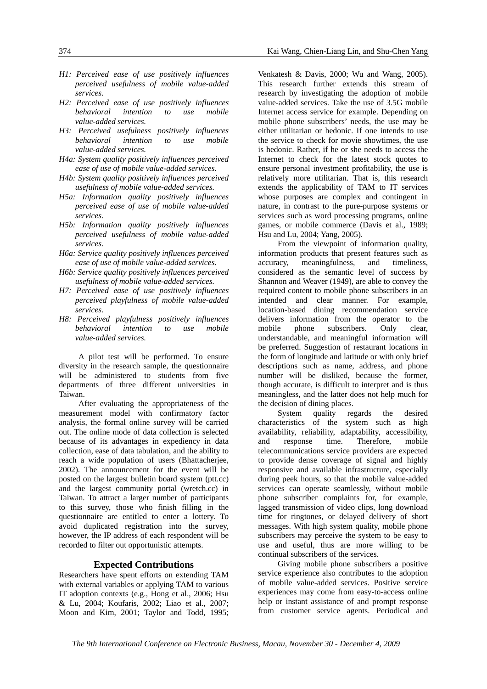- *H1: Perceived ease of use positively influences perceived usefulness of mobile value-added services.*
- *H2: Perceived ease of use positively influences behavioral intention to use mobile value-added services.*
- *H3: Perceived usefulness positively influences behavioral intention to use mobile value-added services.*
- *H4a: System quality positively influences perceived ease of use of mobile value-added services.*
- *H4b: System quality positively influences perceived usefulness of mobile value-added services.*
- *H5a: Information quality positively influences perceived ease of use of mobile value-added services.*
- *H5b: Information quality positively influences perceived usefulness of mobile value-added services.*
- *H6a: Service quality positively influences perceived ease of use of mobile value-added services.*
- *H6b: Service quality positively influences perceived usefulness of mobile value-added services.*
- *H7: Perceived ease of use positively influences perceived playfulness of mobile value-added services.*
- *H8: Perceived playfulness positively influences behavioral intention to use mobile value-added services.*

A pilot test will be performed. To ensure diversity in the research sample, the questionnaire will be administered to students from five departments of three different universities in Taiwan.

After evaluating the appropriateness of the measurement model with confirmatory factor analysis, the formal online survey will be carried out. The online mode of data collection is selected because of its advantages in expediency in data collection, ease of data tabulation, and the ability to reach a wide population of users (Bhattacherjee, 2002). The announcement for the event will be posted on the largest bulletin board system (ptt.cc) and the largest community portal (wretch.cc) in Taiwan. To attract a larger number of participants to this survey, those who finish filling in the questionnaire are entitled to enter a lottery. To avoid duplicated registration into the survey, however, the IP address of each respondent will be recorded to filter out opportunistic attempts.

#### **Expected Contributions**

Researchers have spent efforts on extending TAM with external variables or applying TAM to various IT adoption contexts (e.g., Hong et al., 2006; Hsu & Lu, 2004; Koufaris, 2002; Liao et al., 2007; Moon and Kim, 2001; Taylor and Todd, 1995;

Venkatesh & Davis, 2000; Wu and Wang, 2005). This research further extends this stream of research by investigating the adoption of mobile value-added services. Take the use of 3.5G mobile Internet access service for example. Depending on mobile phone subscribers' needs, the use may be either utilitarian or hedonic. If one intends to use the service to check for movie showtimes, the use is hedonic. Rather, if he or she needs to access the Internet to check for the latest stock quotes to ensure personal investment profitability, the use is relatively more utilitarian. That is, this research extends the applicability of TAM to IT services whose purposes are complex and contingent in nature, in contrast to the pure-purpose systems or services such as word processing programs, online games, or mobile commerce (Davis et al., 1989; Hsu and Lu, 2004; Yang, 2005).

From the viewpoint of information quality, information products that present features such as accuracy, meaningfulness, and timeliness, considered as the semantic level of success by Shannon and Weaver (1949), are able to convey the required content to mobile phone subscribers in an intended and clear manner. For example, location-based dining recommendation service delivers information from the operator to the mobile phone subscribers. Only clear, understandable, and meaningful information will be preferred. Suggestion of restaurant locations in the form of longitude and latitude or with only brief descriptions such as name, address, and phone number will be disliked, because the former, though accurate, is difficult to interpret and is thus meaningless, and the latter does not help much for the decision of dining places.

System quality regards the desired characteristics of the system such as high availability, reliability, adaptability, accessibility, and response time. Therefore, mobile telecommunications service providers are expected to provide dense coverage of signal and highly responsive and available infrastructure, especially during peek hours, so that the mobile value-added services can operate seamlessly, without mobile phone subscriber complaints for, for example, lagged transmission of video clips, long download time for ringtones, or delayed delivery of short messages. With high system quality, mobile phone subscribers may perceive the system to be easy to use and useful, thus are more willing to be continual subscribers of the services.

Giving mobile phone subscribers a positive service experience also contributes to the adoption of mobile value-added services. Positive service experiences may come from easy-to-access online help or instant assistance of and prompt response from customer service agents. Periodical and